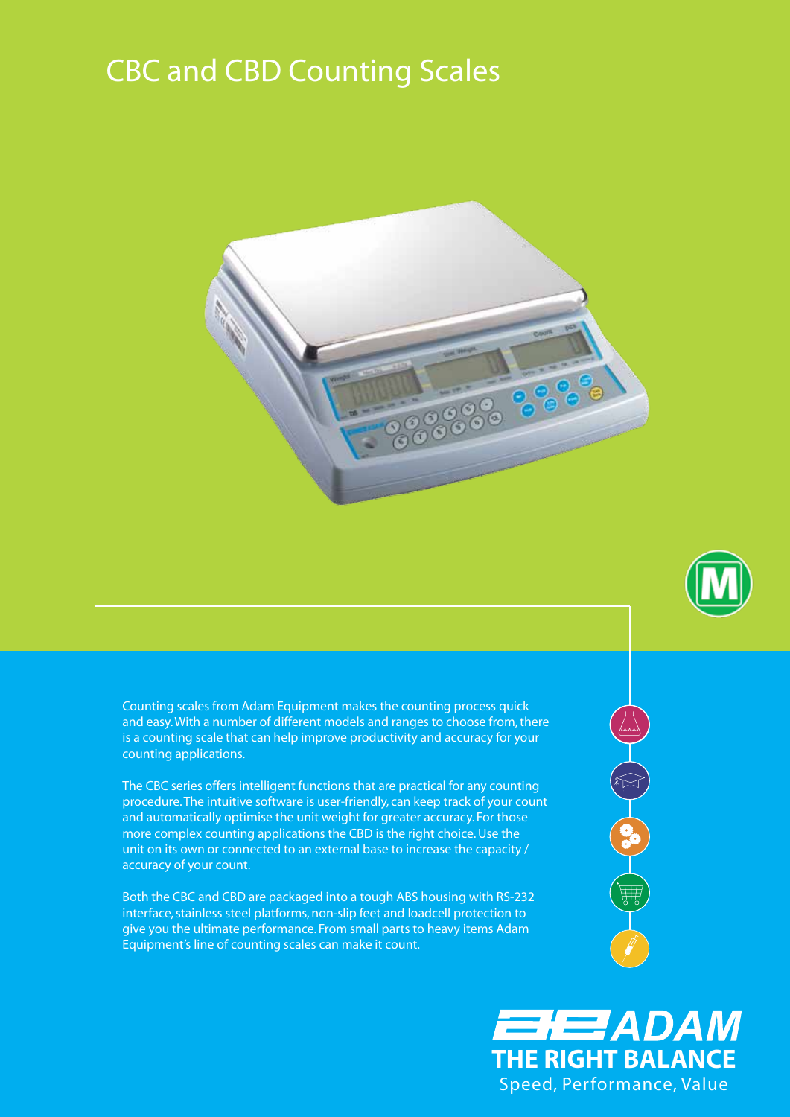## CBC and CBD Counting Scales





Counting scales from Adam Equipment makes the counting process quick and easy. With a number of different models and ranges to choose from, there is a counting scale that can help improve productivity and accuracy for your counting applications.

The CBC series offers intelligent functions that are practical for any counting procedure. The intuitive software is user-friendly, can keep track of your count and automatically optimise the unit weight for greater accuracy. For those more complex counting applications the CBD is the right choice. Use the unit on its own or connected to an external base to increase the capacity / accuracy of your count.

Both the CBC and CBD are packaged into a tough ABS housing with RS-232 interface, stainless steel platforms, non-slip feet and loadcell protection to give you the ultimate performance. From small parts to heavy items Adam Equipment's line of counting scales can make it count.



EHEZADAM **THE RIGHT BALANCE** Speed, Performance, Value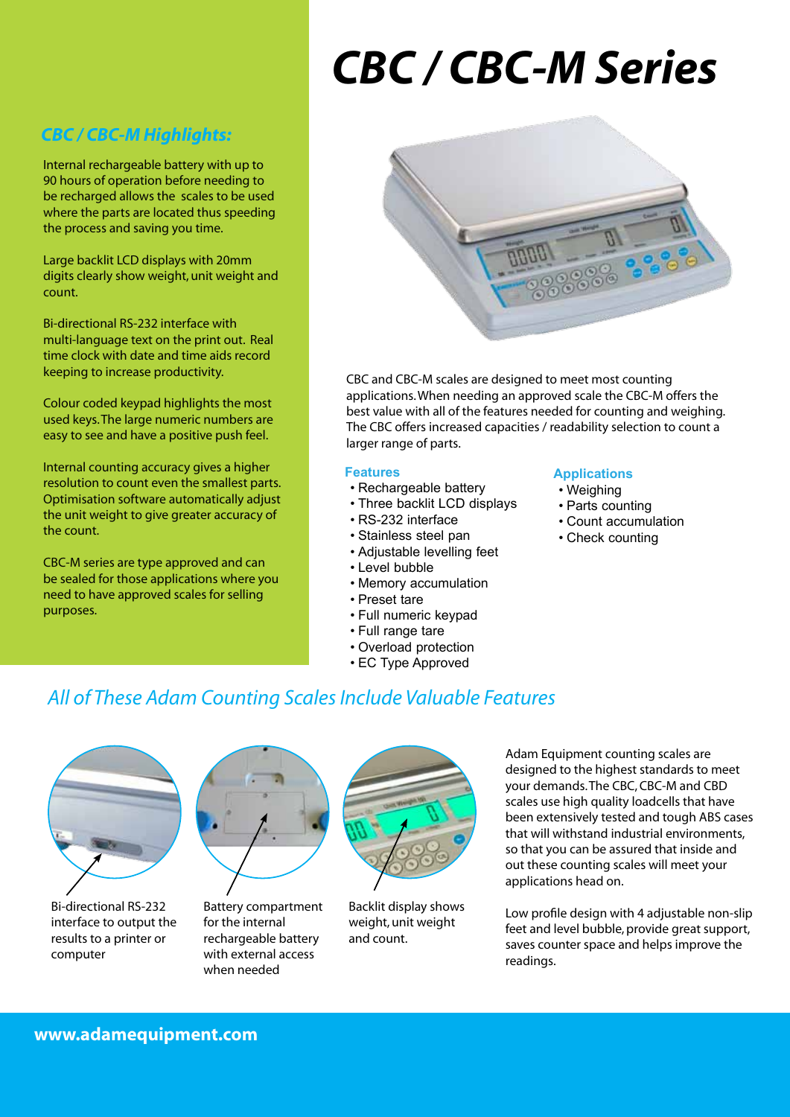# *CBC / CBC-M Series*

#### *CBC / CBC-M Highlights:*

Internal rechargeable battery with up to 90 hours of operation before needing to be recharged allows the scales to be used where the parts are located thus speeding the process and saving you time.

Large backlit LCD displays with 20mm digits clearly show weight, unit weight and count.

Bi-directional RS-232 interface with multi-language text on the print out. Real time clock with date and time aids record keeping to increase productivity.

Colour coded keypad highlights the most used keys. The large numeric numbers are easy to see and have a positive push feel.

Internal counting accuracy gives a higher resolution to count even the smallest parts. Optimisation software automatically adjust the unit weight to give greater accuracy of the count.

CBC-M series are type approved and can be sealed for those applications where you need to have approved scales for selling purposes.



CBC and CBC-M scales are designed to meet most counting applications. When needing an approved scale the CBC-M offers the best value with all of the features needed for counting and weighing. The CBC offers increased capacities / readability selection to count a larger range of parts.

#### **Features**

- Rechargeable battery
- Three backlit LCD displays
- • RS-232 interface
- • Stainless steel pan
- • Adjustable levelling feet
- • Level bubble
- • Memory accumulation
- • Preset tare
- • Full numeric keypad
- • Full range tare
- • Overload protection
- • EC Type Approved

#### **Applications**

- • Weighing
- • Parts counting
- • Count accumulation
- Check counting

## *All of These Adam Counting Scales Include Valuable Features*



Bi-directional RS-232 interface to output the results to a printer or computer



Battery compartment for the internal rechargeable battery with external access when needed



Backlit display shows weight, unit weight and count.

Adam Equipment counting scales are designed to the highest standards to meet your demands. The CBC, CBC-M and CBD scales use high quality loadcells that have been extensively tested and tough ABS cases that will withstand industrial environments, so that you can be assured that inside and out these counting scales will meet your applications head on.

Low profile design with 4 adjustable non-slip feet and level bubble, provide great support, saves counter space and helps improve the readings.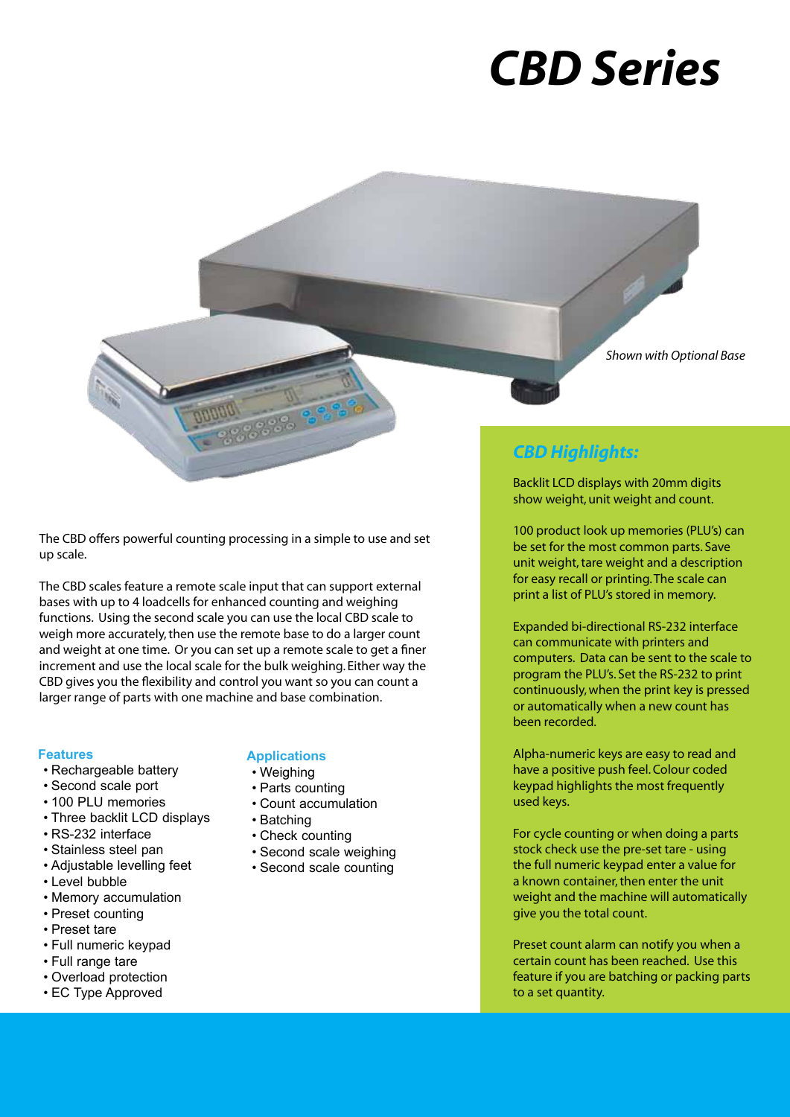# *CBC / CBC-M Series CBD Series*

*Shown with Optional Base*

The CBD offers powerful counting processing in a simple to use and set up scale.

The CBD scales feature a remote scale input that can support external bases with up to 4 loadcells for enhanced counting and weighing functions. Using the second scale you can use the local CBD scale to weigh more accurately, then use the remote base to do a larger count and weight at one time. Or you can set up a remote scale to get a finer increment and use the local scale for the bulk weighing. Either way the CBD gives you the flexibility and control you want so you can count a larger range of parts with one machine and base combination.

#### **Features**

- • Rechargeable battery
- • Second scale port
- 100 PLU memories
- Three backlit LCD displays
- • RS-232 interface
- • Stainless steel pan
- • Adjustable levelling feet
- • Level bubble
- • Memory accumulation
- Preset counting
- • Preset tare
- • Full numeric keypad
- • Full range tare
- • Overload protection
- EC Type Approved

#### **Applications**

- • Weighing
- • Parts counting
- • Count accumulation
- • Batching
- • Check counting
- • Second scale weighing
- • Second scale counting

### *CBD Highlights:*

Backlit LCD displays with 20mm digits show weight, unit weight and count.

100 product look up memories (PLU's) can be set for the most common parts. Save unit weight, tare weight and a description for easy recall or printing. The scale can print a list of PLU's stored in memory.

Expanded bi-directional RS-232 interface can communicate with printers and computers. Data can be sent to the scale to program the PLU's. Set the RS-232 to print continuously, when the print key is pressed or automatically when a new count has been recorded.

Alpha-numeric keys are easy to read and have a positive push feel. Colour coded keypad highlights the most frequently used keys.

For cycle counting or when doing a parts stock check use the pre-set tare - using the full numeric keypad enter a value for a known container, then enter the unit weight and the machine will automatically give you the total count.

Preset count alarm can notify you when a certain count has been reached. Use this feature if you are batching or packing parts to a set quantity.